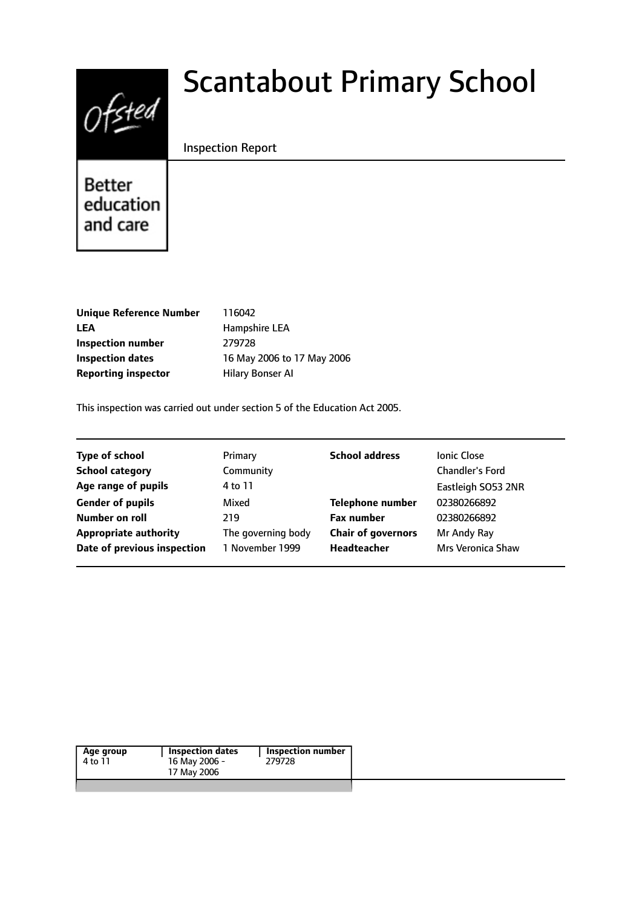

# Scantabout Primary School

## Inspection Report

**Better** education and care

| <b>Unique Reference Number</b> |
|--------------------------------|
| LEA                            |
| Inspection number              |
| Inspection dates               |
| <b>Reporting inspector</b>     |

**Unique Reference Number** 116042 **LEA** Hampshire LEA **Inspection number** 279728 16 May 2006 to 17 May 2006 **Hilary Bonser AI** 

This inspection was carried out under section 5 of the Education Act 2005.

| <b>Type of school</b>        | Primary            | <b>School address</b>     | <b>Ionic Close</b>     |
|------------------------------|--------------------|---------------------------|------------------------|
| <b>School category</b>       | Community          |                           | <b>Chandler's Ford</b> |
| Age range of pupils          | 4 to 11            |                           | Eastleigh SO53 2NR     |
| <b>Gender of pupils</b>      | Mixed              | <b>Telephone number</b>   | 02380266892            |
| Number on roll               | 219                | <b>Fax number</b>         | 02380266892            |
| <b>Appropriate authority</b> | The governing body | <b>Chair of governors</b> | Mr Andy Ray            |
| Date of previous inspection  | 1 November 1999    | Headteacher               | Mrs Veronica Shaw      |

| Age group | Inspection dates | <b>Inspection number</b> |
|-----------|------------------|--------------------------|
| 4 to 11   | 16 May 2006 -    | 279728                   |
|           | 17 May 2006      |                          |
|           |                  |                          |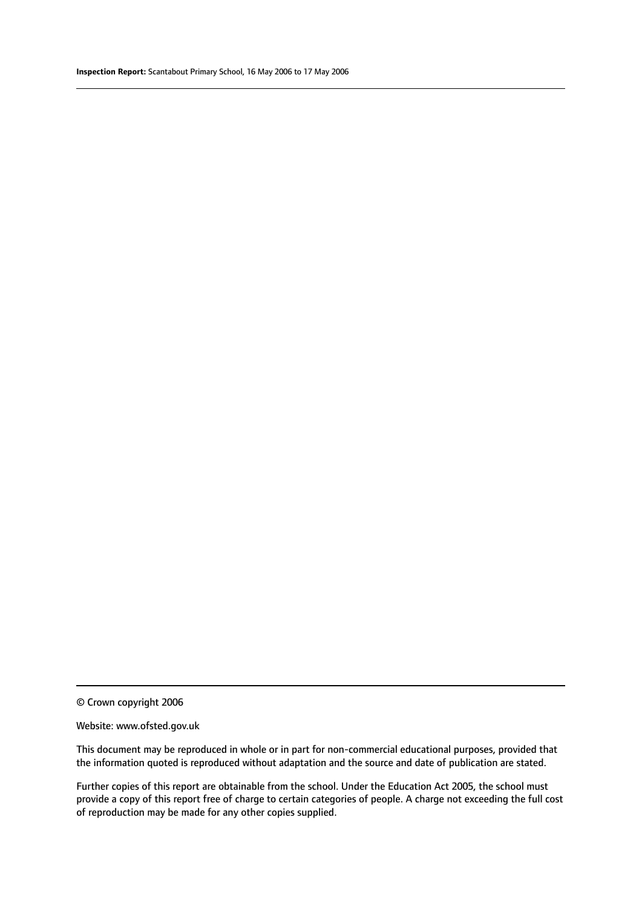© Crown copyright 2006

#### Website: www.ofsted.gov.uk

This document may be reproduced in whole or in part for non-commercial educational purposes, provided that the information quoted is reproduced without adaptation and the source and date of publication are stated.

Further copies of this report are obtainable from the school. Under the Education Act 2005, the school must provide a copy of this report free of charge to certain categories of people. A charge not exceeding the full cost of reproduction may be made for any other copies supplied.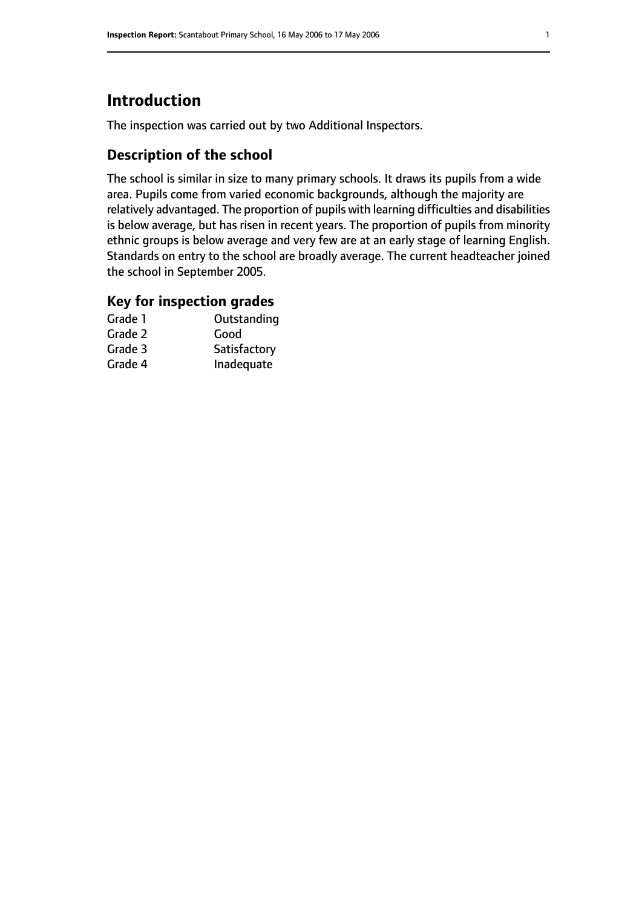# **Introduction**

The inspection was carried out by two Additional Inspectors.

# **Description of the school**

The school is similar in size to many primary schools. It draws its pupils from a wide area. Pupils come from varied economic backgrounds, although the majority are relatively advantaged. The proportion of pupils with learning difficulties and disabilities is below average, but has risen in recent years. The proportion of pupils from minority ethnic groups is below average and very few are at an early stage of learning English. Standards on entry to the school are broadly average. The current headteacher joined the school in September 2005.

## **Key for inspection grades**

| Grade 1 | Outstanding  |
|---------|--------------|
| Grade 2 | Good         |
| Grade 3 | Satisfactory |
| Grade 4 | Inadequate   |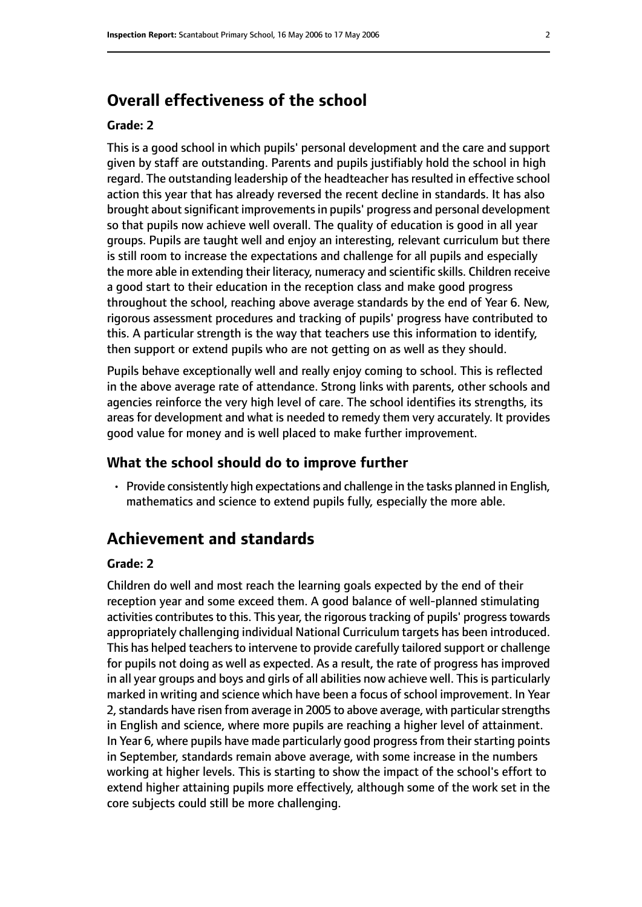# **Overall effectiveness of the school**

#### **Grade: 2**

This is a good school in which pupils' personal development and the care and support given by staff are outstanding. Parents and pupils justifiably hold the school in high regard. The outstanding leadership of the headteacher has resulted in effective school action this year that has already reversed the recent decline in standards. It has also brought about significant improvements in pupils' progress and personal development so that pupils now achieve well overall. The quality of education is good in all year groups. Pupils are taught well and enjoy an interesting, relevant curriculum but there is still room to increase the expectations and challenge for all pupils and especially the more able in extending their literacy, numeracy and scientific skills. Children receive a good start to their education in the reception class and make good progress throughout the school, reaching above average standards by the end of Year 6. New, rigorous assessment procedures and tracking of pupils' progress have contributed to this. A particular strength is the way that teachers use this information to identify, then support or extend pupils who are not getting on as well as they should.

Pupils behave exceptionally well and really enjoy coming to school. This is reflected in the above average rate of attendance. Strong links with parents, other schools and agencies reinforce the very high level of care. The school identifies its strengths, its areas for development and what is needed to remedy them very accurately. It provides good value for money and is well placed to make further improvement.

#### **What the school should do to improve further**

• Provide consistently high expectations and challenge in the tasks planned in English, mathematics and science to extend pupils fully, especially the more able.

# **Achievement and standards**

#### **Grade: 2**

Children do well and most reach the learning goals expected by the end of their reception year and some exceed them. A good balance of well-planned stimulating activities contributes to this. This year, the rigorous tracking of pupils' progress towards appropriately challenging individual National Curriculum targets has been introduced. This has helped teachers to intervene to provide carefully tailored support or challenge for pupils not doing as well as expected. As a result, the rate of progress has improved in all year groups and boys and girls of all abilities now achieve well. This is particularly marked in writing and science which have been a focus of school improvement. In Year 2, standards have risen from average in 2005 to above average, with particular strengths in English and science, where more pupils are reaching a higher level of attainment. In Year 6, where pupils have made particularly good progress from their starting points in September, standards remain above average, with some increase in the numbers working at higher levels. This is starting to show the impact of the school's effort to extend higher attaining pupils more effectively, although some of the work set in the core subjects could still be more challenging.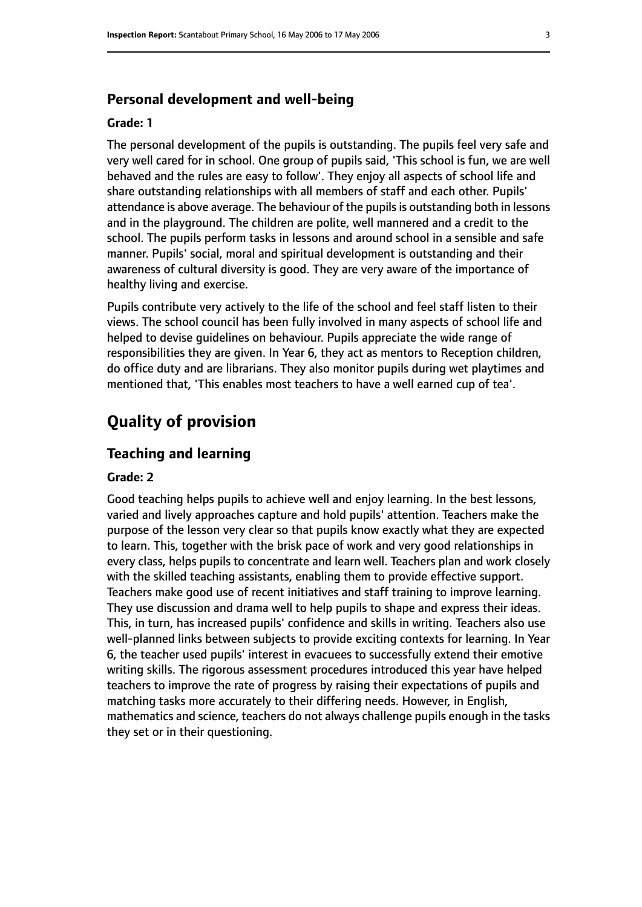#### **Personal development and well-being**

#### **Grade: 1**

The personal development of the pupils is outstanding. The pupils feel very safe and very well cared for in school. One group of pupils said, 'This school is fun, we are well behaved and the rules are easy to follow'. They enjoy all aspects of school life and share outstanding relationships with all members of staff and each other. Pupils' attendance is above average. The behaviour of the pupils is outstanding both in lessons and in the playground. The children are polite, well mannered and a credit to the school. The pupils perform tasks in lessons and around school in a sensible and safe manner. Pupils' social, moral and spiritual development is outstanding and their awareness of cultural diversity is good. They are very aware of the importance of healthy living and exercise.

Pupils contribute very actively to the life of the school and feel staff listen to their views. The school council has been fully involved in many aspects of school life and helped to devise guidelines on behaviour. Pupils appreciate the wide range of responsibilities they are given. In Year 6, they act as mentors to Reception children, do office duty and are librarians. They also monitor pupils during wet playtimes and mentioned that, 'This enables most teachers to have a well earned cup of tea'.

# **Quality of provision**

#### **Teaching and learning**

#### **Grade: 2**

Good teaching helps pupils to achieve well and enjoy learning. In the best lessons, varied and lively approaches capture and hold pupils' attention. Teachers make the purpose of the lesson very clear so that pupils know exactly what they are expected to learn. This, together with the brisk pace of work and very good relationships in every class, helps pupils to concentrate and learn well. Teachers plan and work closely with the skilled teaching assistants, enabling them to provide effective support. Teachers make good use of recent initiatives and staff training to improve learning. They use discussion and drama well to help pupils to shape and express their ideas. This, in turn, has increased pupils' confidence and skills in writing. Teachers also use well-planned links between subjects to provide exciting contexts for learning. In Year 6, the teacher used pupils' interest in evacuees to successfully extend their emotive writing skills. The rigorous assessment procedures introduced this year have helped teachers to improve the rate of progress by raising their expectations of pupils and matching tasks more accurately to their differing needs. However, in English, mathematics and science, teachers do not always challenge pupils enough in the tasks they set or in their questioning.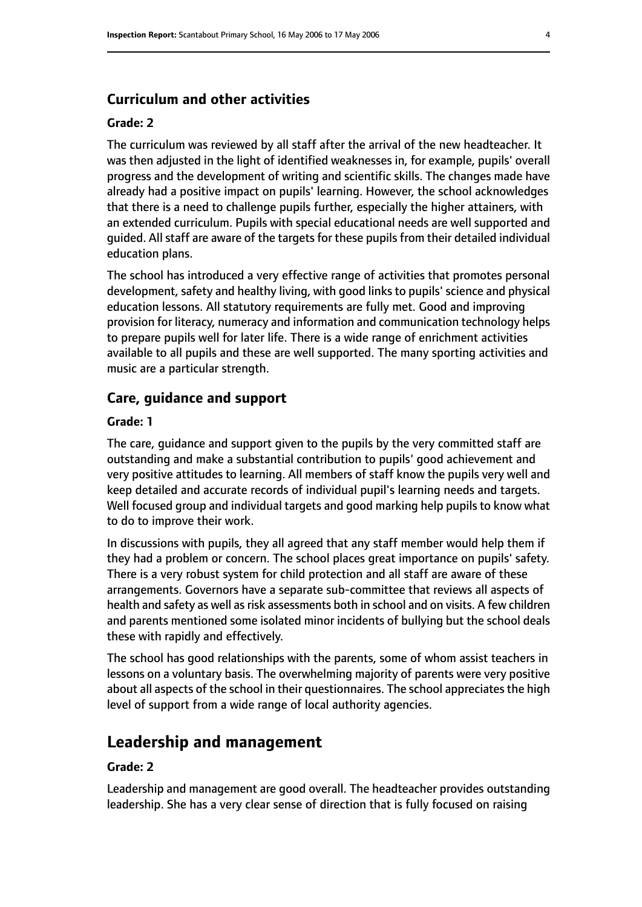## **Curriculum and other activities**

#### **Grade: 2**

The curriculum was reviewed by all staff after the arrival of the new headteacher. It was then adjusted in the light of identified weaknesses in, for example, pupils' overall progress and the development of writing and scientific skills. The changes made have already had a positive impact on pupils' learning. However, the school acknowledges that there is a need to challenge pupils further, especially the higher attainers, with an extended curriculum. Pupils with special educational needs are well supported and guided. All staff are aware of the targets for these pupils from their detailed individual education plans.

The school has introduced a very effective range of activities that promotes personal development, safety and healthy living, with good links to pupils' science and physical education lessons. All statutory requirements are fully met. Good and improving provision for literacy, numeracy and information and communication technology helps to prepare pupils well for later life. There is a wide range of enrichment activities available to all pupils and these are well supported. The many sporting activities and music are a particular strength.

#### **Care, guidance and support**

#### **Grade: 1**

The care, guidance and support given to the pupils by the very committed staff are outstanding and make a substantial contribution to pupils' good achievement and very positive attitudes to learning. All members of staff know the pupils very well and keep detailed and accurate records of individual pupil's learning needs and targets. Well focused group and individual targets and good marking help pupils to know what to do to improve their work.

In discussions with pupils, they all agreed that any staff member would help them if they had a problem or concern. The school places great importance on pupils' safety. There is a very robust system for child protection and all staff are aware of these arrangements. Governors have a separate sub-committee that reviews all aspects of health and safety as well as risk assessments both in school and on visits. A few children and parents mentioned some isolated minor incidents of bullying but the school deals these with rapidly and effectively.

The school has good relationships with the parents, some of whom assist teachers in lessons on a voluntary basis. The overwhelming majority of parents were very positive about all aspects of the school in their questionnaires. The school appreciates the high level of support from a wide range of local authority agencies.

## **Leadership and management**

#### **Grade: 2**

Leadership and management are good overall. The headteacher provides outstanding leadership. She has a very clear sense of direction that is fully focused on raising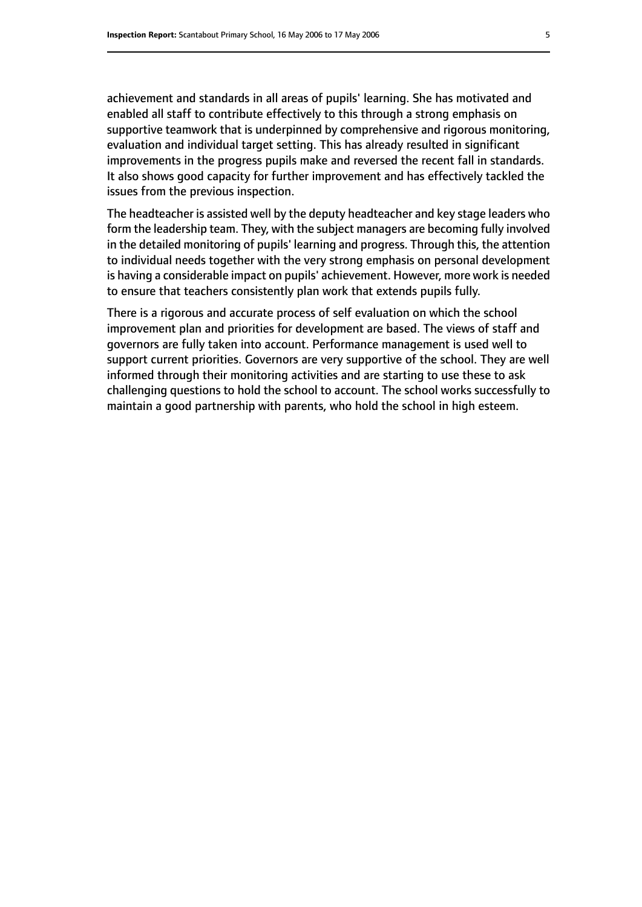achievement and standards in all areas of pupils' learning. She has motivated and enabled all staff to contribute effectively to this through a strong emphasis on supportive teamwork that is underpinned by comprehensive and rigorous monitoring, evaluation and individual target setting. This has already resulted in significant improvements in the progress pupils make and reversed the recent fall in standards. It also shows good capacity for further improvement and has effectively tackled the issues from the previous inspection.

The headteacher is assisted well by the deputy headteacher and key stage leaders who form the leadership team. They, with the subject managers are becoming fully involved in the detailed monitoring of pupils' learning and progress. Through this, the attention to individual needs together with the very strong emphasis on personal development is having a considerable impact on pupils' achievement. However, more work is needed to ensure that teachers consistently plan work that extends pupils fully.

There is a rigorous and accurate process of self evaluation on which the school improvement plan and priorities for development are based. The views of staff and governors are fully taken into account. Performance management is used well to support current priorities. Governors are very supportive of the school. They are well informed through their monitoring activities and are starting to use these to ask challenging questions to hold the school to account. The school works successfully to maintain a good partnership with parents, who hold the school in high esteem.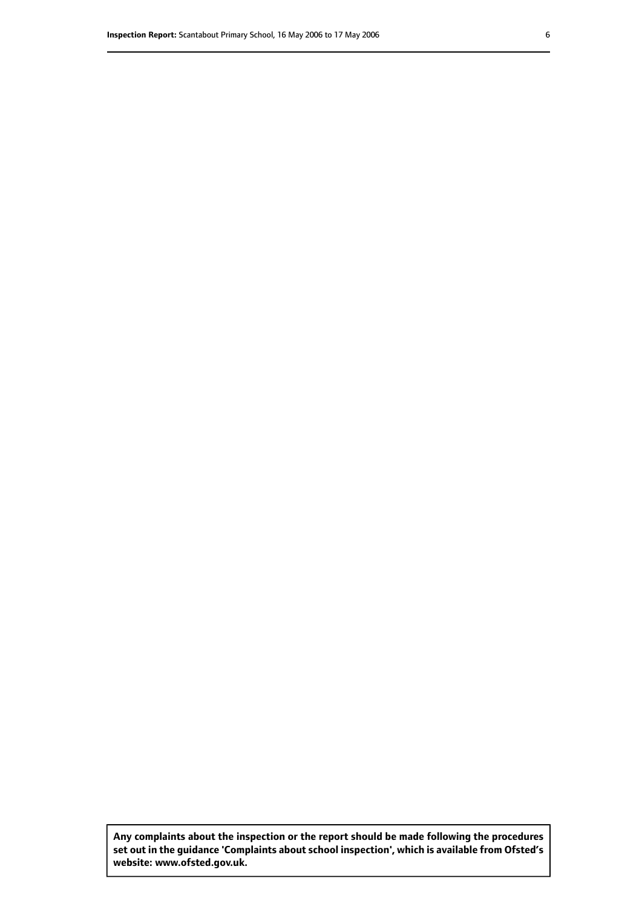**Any complaints about the inspection or the report should be made following the procedures set out inthe guidance 'Complaints about school inspection', whichis available from Ofsted's website: www.ofsted.gov.uk.**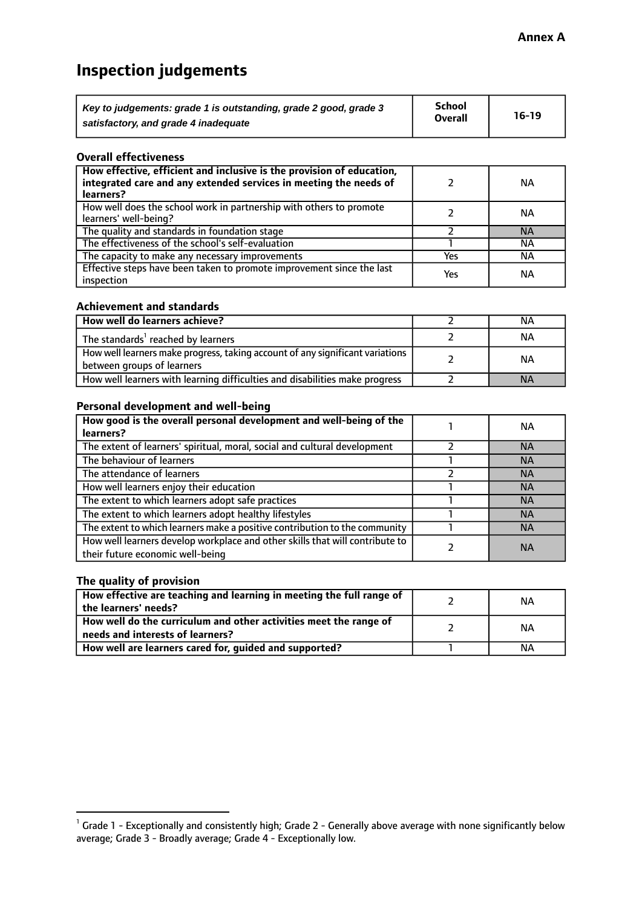# **Inspection judgements**

| Key to judgements: grade 1 is outstanding, grade 2 good, grade 3 | <b>School</b>  | $16-19$ |
|------------------------------------------------------------------|----------------|---------|
| satisfactory, and grade 4 inadequate                             | <b>Overall</b> |         |

#### **Overall effectiveness**

| How effective, efficient and inclusive is the provision of education,<br>integrated care and any extended services in meeting the needs of<br>learners? |     | <b>NA</b> |
|---------------------------------------------------------------------------------------------------------------------------------------------------------|-----|-----------|
| How well does the school work in partnership with others to promote<br>learners' well-being?                                                            |     | ΝA        |
| The quality and standards in foundation stage                                                                                                           |     | <b>NA</b> |
| The effectiveness of the school's self-evaluation                                                                                                       |     | ΝA        |
| The capacity to make any necessary improvements                                                                                                         | Yes | NА        |
| Effective steps have been taken to promote improvement since the last<br>inspection                                                                     | Yes | <b>NA</b> |

#### **Achievement and standards**

| How well do learners achieve?                                                                               | ΝA        |
|-------------------------------------------------------------------------------------------------------------|-----------|
| The standards <sup>1</sup> reached by learners                                                              | ΝA        |
| How well learners make progress, taking account of any significant variations<br>between groups of learners | <b>NA</b> |
| How well learners with learning difficulties and disabilities make progress                                 | <b>NA</b> |

### **Personal development and well-being**

| How good is the overall personal development and well-being of the<br>learners?                                  | ΝA        |
|------------------------------------------------------------------------------------------------------------------|-----------|
| The extent of learners' spiritual, moral, social and cultural development                                        | <b>NA</b> |
| The behaviour of learners                                                                                        | <b>NA</b> |
| The attendance of learners                                                                                       | <b>NA</b> |
| How well learners enjoy their education                                                                          | <b>NA</b> |
| The extent to which learners adopt safe practices                                                                | <b>NA</b> |
| The extent to which learners adopt healthy lifestyles                                                            | <b>NA</b> |
| The extent to which learners make a positive contribution to the community                                       | <b>NA</b> |
| How well learners develop workplace and other skills that will contribute to<br>their future economic well-being | <b>NA</b> |

## **The quality of provision**

| How effective are teaching and learning in meeting the full range of<br>the learners' needs?          | ΝA |
|-------------------------------------------------------------------------------------------------------|----|
| How well do the curriculum and other activities meet the range of<br>needs and interests of learners? | ΝA |
| How well are learners cared for, guided and supported?                                                | NА |

 $^1$  Grade 1 - Exceptionally and consistently high; Grade 2 - Generally above average with none significantly below average; Grade 3 - Broadly average; Grade 4 - Exceptionally low.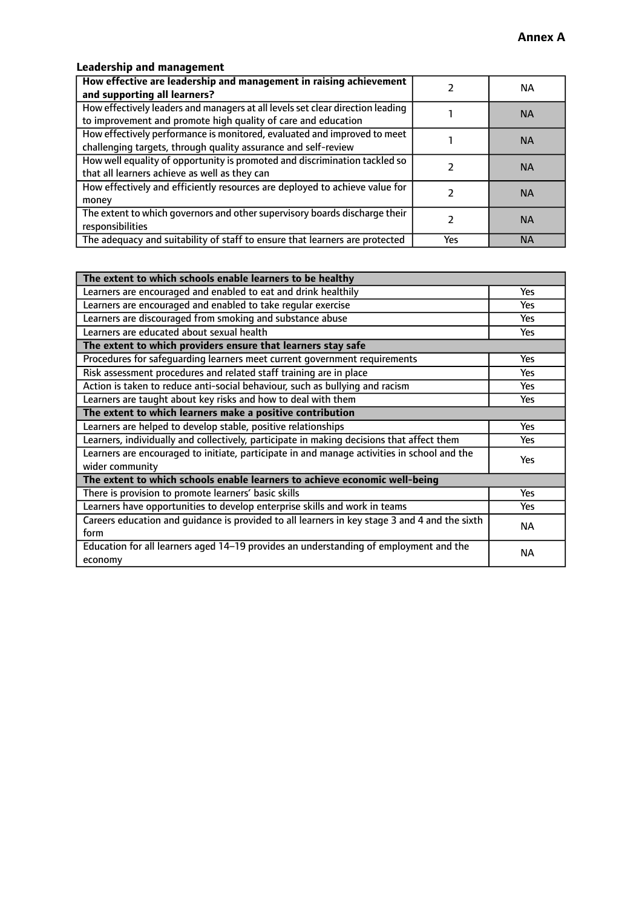# **Leadership and management**

| How effective are leadership and management in raising achievement<br>and supporting all learners?                                              |     | NА        |
|-------------------------------------------------------------------------------------------------------------------------------------------------|-----|-----------|
| How effectively leaders and managers at all levels set clear direction leading<br>to improvement and promote high quality of care and education |     | <b>NA</b> |
| How effectively performance is monitored, evaluated and improved to meet<br>challenging targets, through quality assurance and self-review      |     | <b>NA</b> |
| How well equality of opportunity is promoted and discrimination tackled so<br>that all learners achieve as well as they can                     |     | <b>NA</b> |
| How effectively and efficiently resources are deployed to achieve value for<br>money                                                            |     | <b>NA</b> |
| The extent to which governors and other supervisory boards discharge their<br>responsibilities                                                  |     | <b>NA</b> |
| The adequacy and suitability of staff to ensure that learners are protected                                                                     | Yes | <b>NA</b> |

| The extent to which schools enable learners to be healthy                                     |            |  |
|-----------------------------------------------------------------------------------------------|------------|--|
| Learners are encouraged and enabled to eat and drink healthily                                | Yes        |  |
| Learners are encouraged and enabled to take regular exercise                                  | <b>Yes</b> |  |
| Learners are discouraged from smoking and substance abuse                                     | Yes        |  |
| Learners are educated about sexual health                                                     | Yes        |  |
| The extent to which providers ensure that learners stay safe                                  |            |  |
| Procedures for safequarding learners meet current government requirements                     | Yes        |  |
| Risk assessment procedures and related staff training are in place                            | <b>Yes</b> |  |
| Action is taken to reduce anti-social behaviour, such as bullying and racism                  | <b>Yes</b> |  |
| Learners are taught about key risks and how to deal with them                                 | Yes        |  |
| The extent to which learners make a positive contribution                                     |            |  |
| Learners are helped to develop stable, positive relationships                                 | Yes        |  |
| Learners, individually and collectively, participate in making decisions that affect them     | Yes        |  |
| Learners are encouraged to initiate, participate in and manage activities in school and the   |            |  |
| wider community                                                                               | <b>Yes</b> |  |
| The extent to which schools enable learners to achieve economic well-being                    |            |  |
| There is provision to promote learners' basic skills                                          | Yes        |  |
| Learners have opportunities to develop enterprise skills and work in teams                    | Yes        |  |
| Careers education and guidance is provided to all learners in key stage 3 and 4 and the sixth | <b>NA</b>  |  |
| form                                                                                          |            |  |
| Education for all learners aged 14-19 provides an understanding of employment and the         | NА         |  |
| economy                                                                                       |            |  |